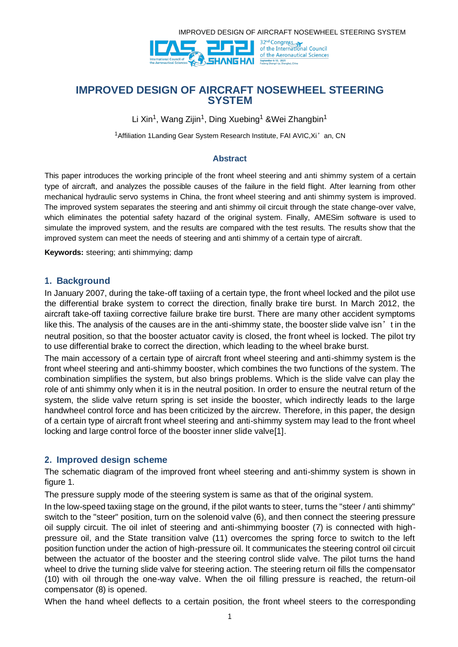



# **IMPROVED DESIGN OF AIRCRAFT NOSEWHEEL STEERING SYSTEM**

Li Xin<sup>1</sup>, Wang Zijin<sup>1</sup>, Ding Xuebing<sup>1</sup> &Wei Zhangbin<sup>1</sup>

<sup>1</sup> Affiliation 1 Landing Gear System Research Institute, FAI AVIC, Xi' an, CN

#### **Abstract**

This paper introduces the working principle of the front wheel steering and anti shimmy system of a certain type of aircraft, and analyzes the possible causes of the failure in the field flight. After learning from other mechanical hydraulic servo systems in China, the front wheel steering and anti shimmy system is improved. The improved system separates the steering and anti shimmy oil circuit through the state change-over valve, which eliminates the potential safety hazard of the original system. Finally, AMESim software is used to simulate the improved system, and the results are compared with the test results. The results show that the improved system can meet the needs of steering and anti shimmy of a certain type of aircraft.

**Keywords:** steering; anti shimmying; damp

## **1. Background**

In January 2007, during the take-off taxiing of a certain type, the front wheel locked and the pilot use the differential brake system to correct the direction, finally brake tire burst. In March 2012, the aircraft take-off taxiing corrective failure brake tire burst. There are many other accident symptoms like this. The analysis of the causes are in the anti-shimmy state, the booster slide valve isn't in the neutral position, so that the booster actuator cavity is closed, the front wheel is locked. The pilot try to use differential brake to correct the direction, which leading to the wheel brake burst.

The main accessory of a certain type of aircraft front wheel steering and anti-shimmy system is the front wheel steering and anti-shimmy booster, which combines the two functions of the system. The combination simplifies the system, but also brings problems. Which is the slide valve can play the role of anti shimmy only when it is in the neutral position. In order to ensure the neutral return of the system, the slide valve return spring is set inside the booster, which indirectly leads to the large handwheel control force and has been criticized by the aircrew. Therefore, in this paper, the design of a certain type of aircraft front wheel steering and anti-shimmy system may lead to the front wheel locking and large control force of the booster inner slide valve[1].

# **2. Improved design scheme**

The schematic diagram of the improved front wheel steering and anti-shimmy system is shown in figure 1.

The pressure supply mode of the steering system is same as that of the original system.

In the low-speed taxiing stage on the ground, if the pilot wants to steer, turns the "steer / anti shimmy" switch to the "steer" position, turn on the solenoid valve (6), and then connect the steering pressure oil supply circuit. The oil inlet of steering and anti-shimmying booster (7) is connected with highpressure oil, and the State transition valve (11) overcomes the spring force to switch to the left position function under the action of high-pressure oil. It communicates the steering control oil circuit between the actuator of the booster and the steering control slide valve. The pilot turns the hand wheel to drive the turning slide valve for steering action. The steering return oil fills the compensator (10) with oil through the one-way valve. When the oil filling pressure is reached, the return-oil compensator (8) is opened.

When the hand wheel deflects to a certain position, the front wheel steers to the corresponding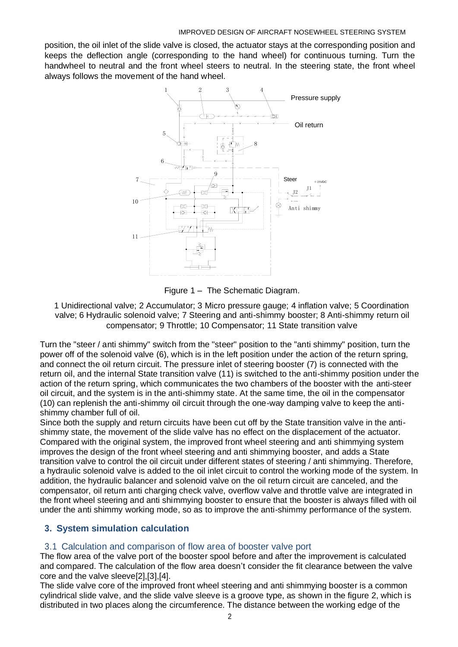position, the oil inlet of the slide valve is closed, the actuator stays at the corresponding position and keeps the deflection angle (corresponding to the hand wheel) for continuous turning. Turn the handwheel to neutral and the front wheel steers to neutral. In the steering state, the front wheel always follows the movement of the hand wheel.



Figure 1 – The Schematic Diagram.

1 Unidirectional valve; 2 Accumulator; 3 Micro pressure gauge; 4 inflation valve; 5 Coordination valve; 6 Hydraulic solenoid valve; 7 Steering and anti-shimmy booster; 8 Anti-shimmy return oil compensator; 9 Throttle; 10 Compensator; 11 State transition valve

Turn the "steer / anti shimmy" switch from the "steer" position to the "anti shimmy" position, turn the power off of the solenoid valve (6), which is in the left position under the action of the return spring, and connect the oil return circuit. The pressure inlet of steering booster (7) is connected with the return oil, and the internal State transition valve (11) is switched to the anti-shimmy position under the action of the return spring, which communicates the two chambers of the booster with the anti-steer oil circuit, and the system is in the anti-shimmy state. At the same time, the oil in the compensator (10) can replenish the anti-shimmy oil circuit through the one-way damping valve to keep the antishimmy chamber full of oil.

Since both the supply and return circuits have been cut off by the State transition valve in the antishimmy state, the movement of the slide valve has no effect on the displacement of the actuator. Compared with the original system, the improved front wheel steering and anti shimmying system improves the design of the front wheel steering and anti shimmying booster, and adds a State transition valve to control the oil circuit under different states of steering / anti shimmying. Therefore, a hydraulic solenoid valve is added to the oil inlet circuit to control the working mode of the system. In addition, the hydraulic balancer and solenoid valve on the oil return circuit are canceled, and the compensator, oil return anti charging check valve, overflow valve and throttle valve are integrated in the front wheel steering and anti shimmying booster to ensure that the booster is always filled with oil under the anti shimmy working mode, so as to improve the anti-shimmy performance of the system.

# **3. System simulation calculation**

# 3.1 Calculation and comparison of flow area of booster valve port

The flow area of the valve port of the booster spool before and after the improvement is calculated and compared. The calculation of the flow area doesn't consider the fit clearance between the valve core and the valve sleeve[2],[3],[4].

The slide valve core of the improved front wheel steering and anti shimmying booster is a common cylindrical slide valve, and the slide valve sleeve is a groove type, as shown in the figure 2, which is distributed in two places along the circumference. The distance between the working edge of the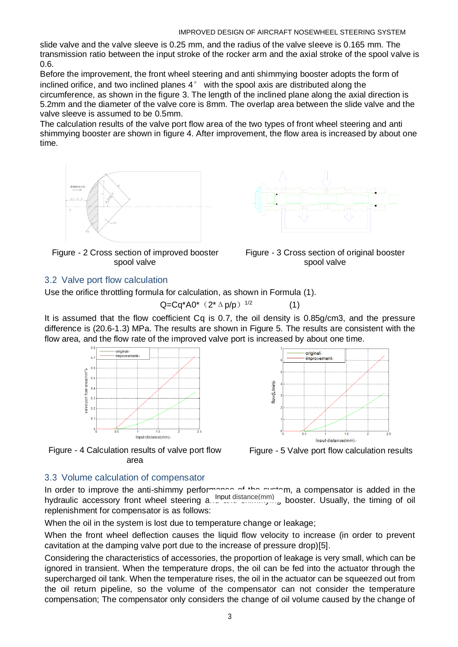slide valve and the valve sleeve is 0.25 mm, and the radius of the valve sleeve is 0.165 mm. The transmission ratio between the input stroke of the rocker arm and the axial stroke of the spool valve is 0.6.

Before the improvement, the front wheel steering and anti shimmying booster adopts the form of inclined orifice, and two inclined planes 4° with the spool axis are distributed along the circumference, as shown in the figure 3. The length of the inclined plane along the axial direction is 5.2mm and the diameter of the valve core is 8mm. The overlap area between the slide valve and the valve sleeve is assumed to be 0.5mm.

The calculation results of the valve port flow area of the two types of front wheel steering and anti shimmying booster are shown in figure 4. After improvement, the flow area is increased by about one time.



Figure - 2 Cross section of improved booster spool valve





(1)

# 3.2 Valve port flow calculation

Use the orifice throttling formula for calculation, as shown in Formula (1).

$$
Q = Cq^* A 0^* (2^* \Delta p/p)^{1/2}
$$
 (

It is assumed that the flow coefficient Cq is 0.7, the oil density is 0.85g/cm3, and the pressure difference is (20.6-1.3) MPa. The results are shown in Figure 5. The results are consistent with the flow area, and the flow rate of the improved valve port is increased by about one time.



Figure - 4 Calculation results of valve port flow area



Figure - 5 Valve port flow calculation results

# 3.3 Volume calculation of compensator

In order to improve the anti-shimmy performance of the system, a compensator is added in the hydraulic accessory front wheel steering a. nout distance(mm) booster. Usually, the timing of oil replenishment for compensator is as follows:

When the oil in the system is lost due to temperature change or leakage;

When the front wheel deflection causes the liquid flow velocity to increase (in order to prevent cavitation at the damping valve port due to the increase of pressure drop)[5].

Considering the characteristics of accessories, the proportion of leakage is very small, which can be ignored in transient. When the temperature drops, the oil can be fed into the actuator through the supercharged oil tank. When the temperature rises, the oil in the actuator can be squeezed out from the oil return pipeline, so the volume of the compensator can not consider the temperature compensation; The compensator only considers the change of oil volume caused by the change of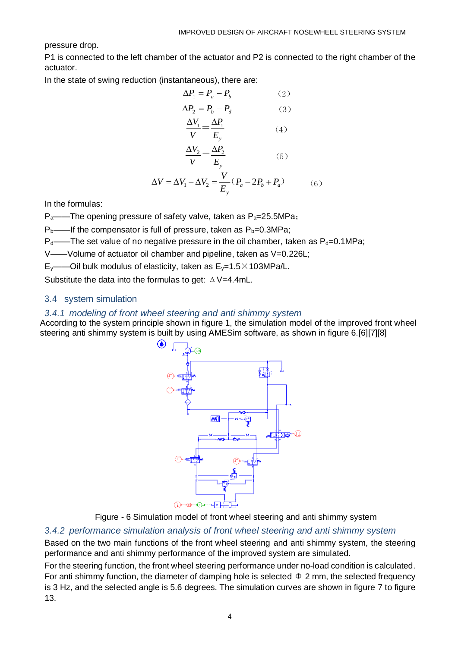$(5)$ 

pressure drop.

P1 is connected to the left chamber of the actuator and P2 is connected to the right chamber of the actuator.

In the state of swing reduction (instantaneous), there are:

$$
\Delta P_1 = P_a - P_b \tag{2}
$$
  
\n
$$
\Delta P_2 = P_b - P_d \tag{3}
$$
  
\n
$$
\frac{\Delta V_1}{\Delta V_2} = \frac{\Delta P_1}{V_1} \tag{4}
$$

$$
V \t E_y
$$
  
\n
$$
\Delta V_2 \Delta P_2
$$

$$
V \t E_y
$$
  
\n
$$
\Delta V = \Delta V_1 - \Delta V_2 = \frac{V}{E_y} (P_a - 2P_b + P_d)
$$
 (6)

In the formulas:

 $P_{a}$ ——The opening pressure of safety valve, taken as  $P_{a}=25.5MPa$ ;

 $P_b$ ——If the compensator is full of pressure, taken as  $P_b$ =0.3MPa;

 $P_d$ ——The set value of no negative pressure in the oil chamber, taken as  $P_d$ =0.1MPa;

V——Volume of actuator oil chamber and pipeline, taken as V=0.226L;

E<sub>y</sub>——Oil bulk modulus of elasticity, taken as  $E_y=1.5\times103MPa/L$ .

Substitute the data into the formulas to get:  $\triangle$  V=4.4mL.

# 3.4 system simulation

# *3.4.1 modeling of front wheel steering and anti shimmy system*

According to the system principle shown in figure 1, the simulation model of the improved front wheel steering anti shimmy system is built by using AMESim software, as shown in figure 6.[6][7][8]



Figure - 6 Simulation model of front wheel steering and anti shimmy system

# *3.4.2 performance simulation analysis of front wheel steering and anti shimmy system*

Based on the two main functions of the front wheel steering and anti shimmy system, the steering performance and anti shimmy performance of the improved system are simulated.

For the steering function, the front wheel steering performance under no-load condition is calculated. For anti shimmy function, the diameter of damping hole is selected  $\Phi$  2 mm, the selected frequency is 3 Hz, and the selected angle is 5.6 degrees. The simulation curves are shown in figure 7 to figure 13.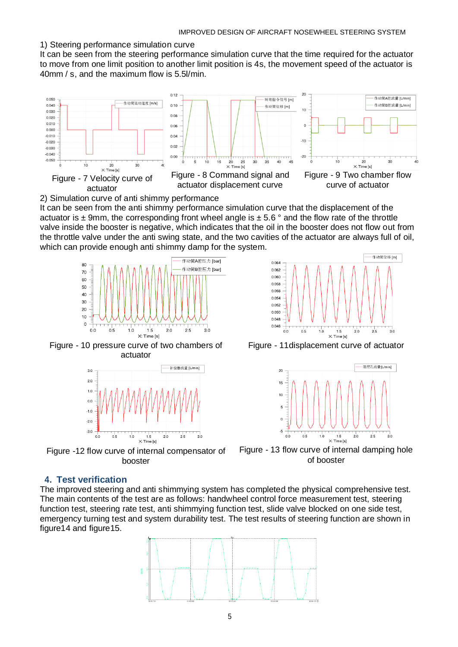#### 1) Steering performance simulation curve

It can be seen from the steering performance simulation curve that the time required for the actuator to move from one limit position to another limit position is 4s, the movement speed of the actuator is 40mm / s, and the maximum flow is 5.5l/min.



2) Simulation curve of anti shimmy performance

It can be seen from the anti shimmy performance simulation curve that the displacement of the actuator is  $\pm$  9mm, the corresponding front wheel angle is  $\pm$  5.6 ° and the flow rate of the throttle valve inside the booster is negative, which indicates that the oil in the booster does not flow out from the throttle valve under the anti swing state, and the two cavities of the actuator are always full of oil, which can provide enough anti shimmy damp for the system.



Figure - 10 pressure curve of two chambers of actuator



Figure -12 flow curve of internal compensator of booster

#### 作动筒位移 [m]  $0.06$ 0.062  $0.080$  $0.058$  $0.056$  $0.054$ 0.052 0.050  $0.048$ 0.046  $0<sup>1</sup>$ ้กร  $1.0$  $\frac{1}{15}$  $2c$  $2.5$ ່າ X: Time [s]

Figure - 11displacement curve of actuator



Figure - 13 flow curve of internal damping hole of booster

# **4. Test verification**

The improved steering and anti shimmying system has completed the physical comprehensive test. The main contents of the test are as follows: handwheel control force measurement test, steering function test, steering rate test, anti shimmying function test, slide valve blocked on one side test, emergency turning test and system durability test. The test results of steering function are shown in figure14 and figure15.